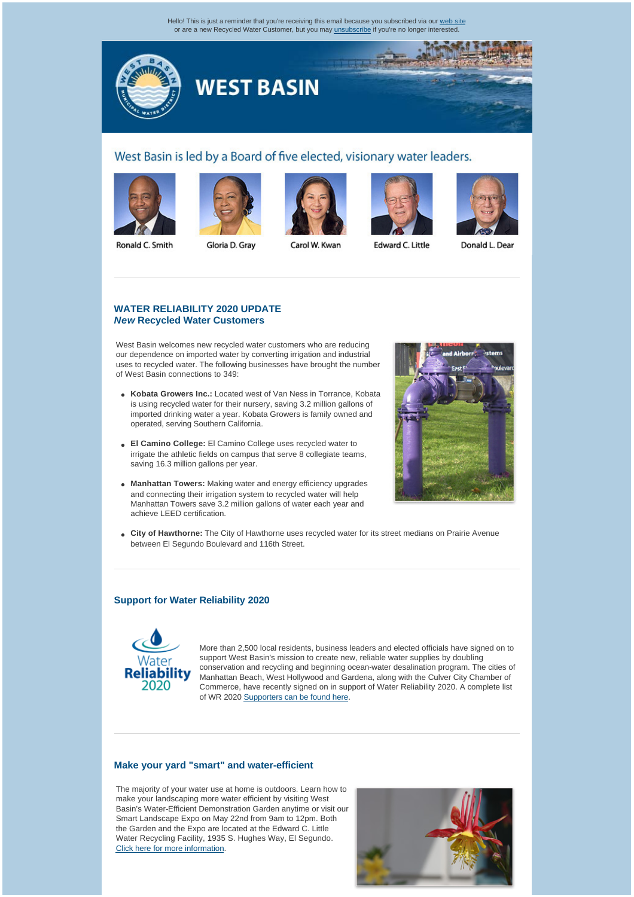Hello! This is just a reminder that you're receiving this email because you subscribed via our [web site](http://westbasinmunicipalwaterdistrict.cmail1.com/t/r/l/btkkdr/l/r) or are a new Recycled Water Customer, but you may [unsubscribe](http://westbasinmunicipalwaterdistrict.cmail1.com/t/r/u/btkkdr/l/) if you're no longer interested.



# West Basin is led by a Board of five elected, visionary water leaders.











Ronald C. Smith

Gloria D. Gray

Carol W. Kwan

Edward C. Little

Donald L. Dear

## **[WATER RELIABILITY 2020 UPDATE](http://westbasinmunicipalwaterdistrict.cmail1.com/t/r/l/btkkdr/l/y)** *New* **Recycled Water Customers**

West Basin welcomes new recycled water customers who are reducing our dependence on imported water by converting irrigation and industrial uses to recycled water. The following businesses have brought the number of West Basin connections to 349:

- **Kobata Growers Inc.:** Located west of Van Ness in Torrance, Kobata is using recycled water for their nursery, saving 3.2 million gallons of imported drinking water a year. Kobata Growers is family owned and operated, serving Southern California.
- **El Camino College:** El Camino College uses recycled water to irrigate the athletic fields on campus that serve 8 collegiate teams, saving 16.3 million gallons per year.
- **Manhattan Towers:** Making water and energy efficiency upgrades and connecting their irrigation system to recycled water will help Manhattan Towers save 3.2 million gallons of water each year and achieve LEED certification.



**City of Hawthorne:** The City of Hawthorne uses recycled water for its street medians on Prairie Avenue between El Segundo Boulevard and 116th Street.

### **[Support for Water Reliability 2020](http://westbasinmunicipalwaterdistrict.cmail1.com/t/r/l/btkkdr/l/j)**



More than 2,500 local residents, business leaders and elected officials have signed on to support West Basin's mission to create new, reliable water supplies by doubling conservation and recycling and beginning ocean-water desalination program. The cities of Manhattan Beach, West Hollywood and Gardena, along with the Culver City Chamber of Commerce, have recently signed on in support of Water Reliability 2020. A complete list of WR 2020 [Supporters can be found here.](http://westbasinmunicipalwaterdistrict.cmail1.com/t/r/l/btkkdr/l/t)

### **[Make your yard "smart" and water-efficient](http://westbasinmunicipalwaterdistrict.cmail1.com/t/r/l/btkkdr/l/i)**

The majority of your water use at home is outdoors. Learn how to make your landscaping more water efficient by visiting West Basin's Water-Efficient Demonstration Garden anytime or visit our Smart Landscape Expo on May 22nd from 9am to 12pm. Both the Garden and the Expo are located at the Edward C. Little Water Recycling Facility, 1935 S. Hughes Way, El Segundo. [Click here for more information](http://westbasinmunicipalwaterdistrict.cmail1.com/t/r/l/btkkdr/l/d).

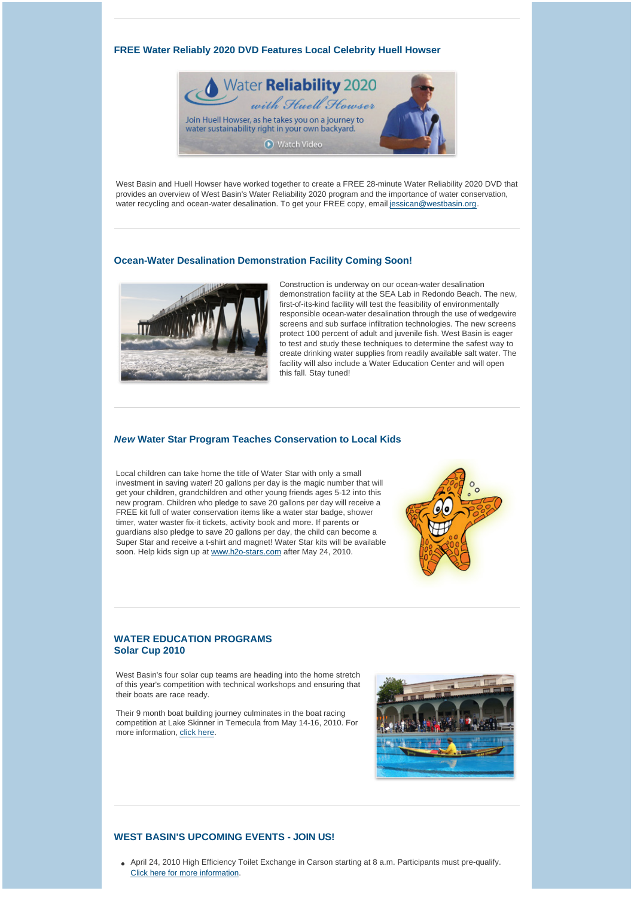### **[FREE Water Reliably 2020 DVD Features Local Celebrity Huell Howser](http://westbasinmunicipalwaterdistrict.cmail1.com/t/r/l/btkkdr/l/h)**



West Basin and Huell Howser have worked together to create a FREE 28-minute Water Reliability 2020 DVD that provides an overview of West Basin's Water Reliability 2020 program and the importance of water conservation, water recycling and ocean-water desalination. To get your FREE copy, email [jessican@westbasin.org.](mailto:jessican@westbasin.org)

#### **[Ocean-Water Desalination Demonstration Facility Coming Soon!](http://westbasinmunicipalwaterdistrict.cmail1.com/t/r/l/btkkdr/l/u)**



Construction is underway on our ocean-water desalination demonstration facility at the SEA Lab in Redondo Beach. The new, first-of-its-kind facility will test the feasibility of environmentally responsible ocean-water desalination through the use of wedgewire screens and sub surface infiltration technologies. The new screens protect 100 percent of adult and juvenile fish. West Basin is eager to test and study these techniques to determine the safest way to create drinking water supplies from readily available salt water. The facility will also include a Water Education Center and will open this fall. Stay tuned!

#### *New* **[Water Star Program Teaches Conservation to Local Kids](http://westbasinmunicipalwaterdistrict.cmail1.com/t/r/l/btkkdr/l/o)**

Local children can take home the title of Water Star with only a small investment in saving water! 20 gallons per day is the magic number that will get your children, grandchildren and other young friends ages 5-12 into this new program. Children who pledge to save 20 gallons per day will receive a FREE kit full of water conservation items like a water star badge, shower timer, water waster fix-it tickets, activity book and more. If parents or guardians also pledge to save 20 gallons per day, the child can become a Super Star and receive a t-shirt and magnet! Water Star kits will be available soon. Help kids sign up at [www.h2o-stars.com](http://westbasinmunicipalwaterdistrict.cmail1.com/t/r/l/btkkdr/l/b) after May 24, 2010.



# **[WATER EDUCATION PROGRAMS](http://westbasinmunicipalwaterdistrict.cmail1.com/t/r/l/btkkdr/l/n) Solar Cup 2010**

West Basin's four solar cup teams are heading into the home stretch of this year's competition with technical workshops and ensuring that their boats are race ready.

Their 9 month boat building journey culminates in the boat racing competition at Lake Skinner in Temecula from May 14-16, 2010. For more information, [click here](http://westbasinmunicipalwaterdistrict.cmail1.com/t/r/l/btkkdr/l/p).



## **[WEST BASIN'S UPCOMING EVENTS - JOIN US!](http://westbasinmunicipalwaterdistrict.cmail1.com/t/r/l/btkkdr/l/x)**

• April 24, 2010 High Efficiency Toilet Exchange in Carson starting at 8 a.m. Participants must pre-qualify. [Click here for more information](http://westbasinmunicipalwaterdistrict.cmail1.com/t/r/l/btkkdr/l/m).